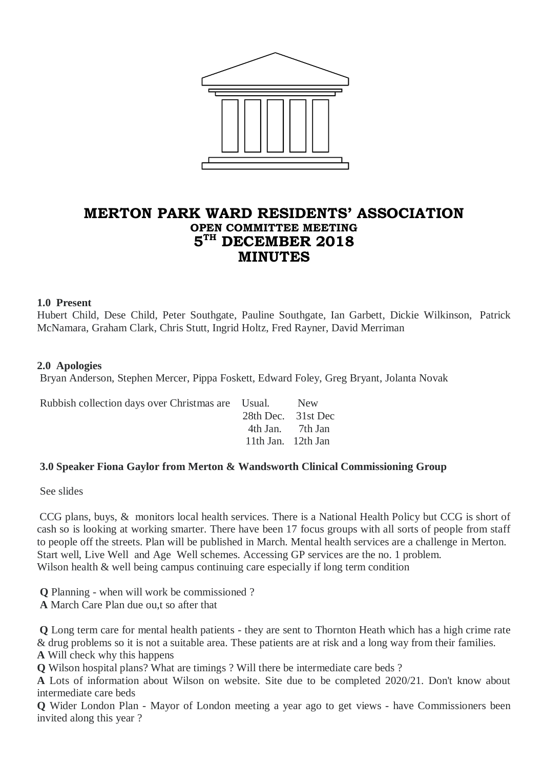

# **MERTON PARK WARD RESIDENTS' ASSOCIATION OPEN COMMITTEE MEETING 5 TH DECEMBER 2018 MINUTES**

### **1.0 Present**

Hubert Child, Dese Child, Peter Southgate, Pauline Southgate, Ian Garbett, Dickie Wilkinson, Patrick McNamara, Graham Clark, Chris Stutt, Ingrid Holtz, Fred Rayner, David Merriman

### **2.0 Apologies**

Bryan Anderson, Stephen Mercer, Pippa Foskett, Edward Foley, Greg Bryant, Jolanta Novak

| Rubbish collection days over Christmas are Usual. New |                    |  |
|-------------------------------------------------------|--------------------|--|
|                                                       | 28th Dec. 31st Dec |  |
|                                                       | 4th Jan. 7th Jan   |  |
|                                                       | 11th Jan. 12th Jan |  |
|                                                       |                    |  |

### **3.0 Speaker Fiona Gaylor from Merton & Wandsworth Clinical Commissioning Group**

See slides

CCG plans, buys, & monitors local health services. There is a National Health Policy but CCG is short of cash so is looking at working smarter. There have been 17 focus groups with all sorts of people from staff to people off the streets. Plan will be published in March. Mental health services are a challenge in Merton. Start well, Live Well and Age Well schemes. Accessing GP services are the no. 1 problem. Wilson health & well being campus continuing care especially if long term condition

**Q** Planning - when will work be commissioned ?

**A** March Care Plan due ou,t so after that

**Q** Long term care for mental health patients - they are sent to Thornton Heath which has a high crime rate & drug problems so it is not a suitable area. These patients are at risk and a long way from their families.

**A** Will check why this happens

**Q** Wilson hospital plans? What are timings ? Will there be intermediate care beds ?

**A** Lots of information about Wilson on website. Site due to be completed 2020/21. Don't know about intermediate care beds

**Q** Wider London Plan - Mayor of London meeting a year ago to get views - have Commissioners been invited along this year ?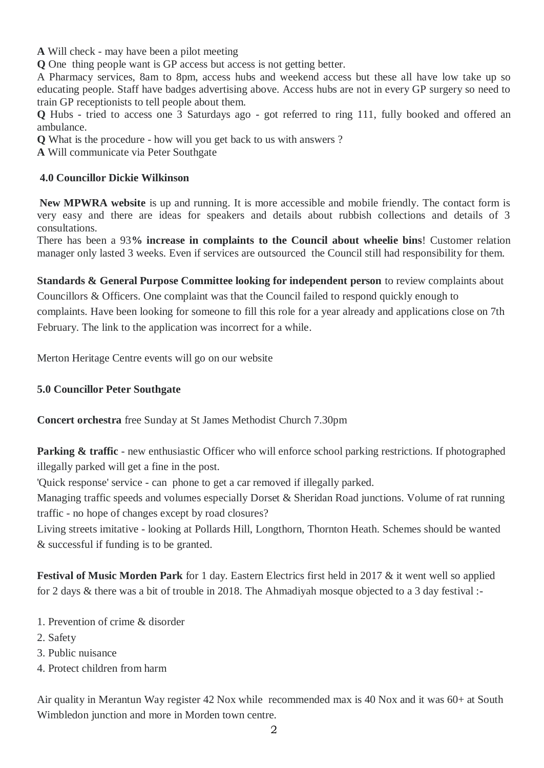**A** Will check - may have been a pilot meeting

**Q** One thing people want is GP access but access is not getting better.

A Pharmacy services, 8am to 8pm, access hubs and weekend access but these all have low take up so educating people. Staff have badges advertising above. Access hubs are not in every GP surgery so need to train GP receptionists to tell people about them.

**Q** Hubs - tried to access one 3 Saturdays ago - got referred to ring 111, fully booked and offered an ambulance.

**Q** What is the procedure - how will you get back to us with answers ?

**A** Will communicate via Peter Southgate

### **4.0 Councillor Dickie Wilkinson**

**New MPWRA website** is up and running. It is more accessible and mobile friendly. The contact form is very easy and there are ideas for speakers and details about rubbish collections and details of 3 consultations.

There has been a 93**% increase in complaints to the Council about wheelie bins**! Customer relation manager only lasted 3 weeks. Even if services are outsourced the Council still had responsibility for them.

**Standards & General Purpose Committee looking for independent person** to review complaints about Councillors & Officers. One complaint was that the Council failed to respond quickly enough to complaints. Have been looking for someone to fill this role for a year already and applications close on 7th February. The link to the application was incorrect for a while.

Merton Heritage Centre events will go on our website

## **5.0 Councillor Peter Southgate**

**Concert orchestra** free Sunday at St James Methodist Church 7.30pm

**Parking & traffic** - new enthusiastic Officer who will enforce school parking restrictions. If photographed illegally parked will get a fine in the post.

'Quick response' service - can phone to get a car removed if illegally parked.

Managing traffic speeds and volumes especially Dorset & Sheridan Road junctions. Volume of rat running traffic - no hope of changes except by road closures?

Living streets imitative - looking at Pollards Hill, Longthorn, Thornton Heath. Schemes should be wanted & successful if funding is to be granted.

**Festival of Music Morden Park** for 1 day. Eastern Electrics first held in 2017 & it went well so applied for 2 days & there was a bit of trouble in 2018. The Ahmadiyah mosque objected to a 3 day festival :-

- 1. Prevention of crime & disorder
- 2. Safety
- 3. Public nuisance
- 4. Protect children from harm

Air quality in Merantun Way register 42 Nox while recommended max is 40 Nox and it was 60+ at South Wimbledon junction and more in Morden town centre.